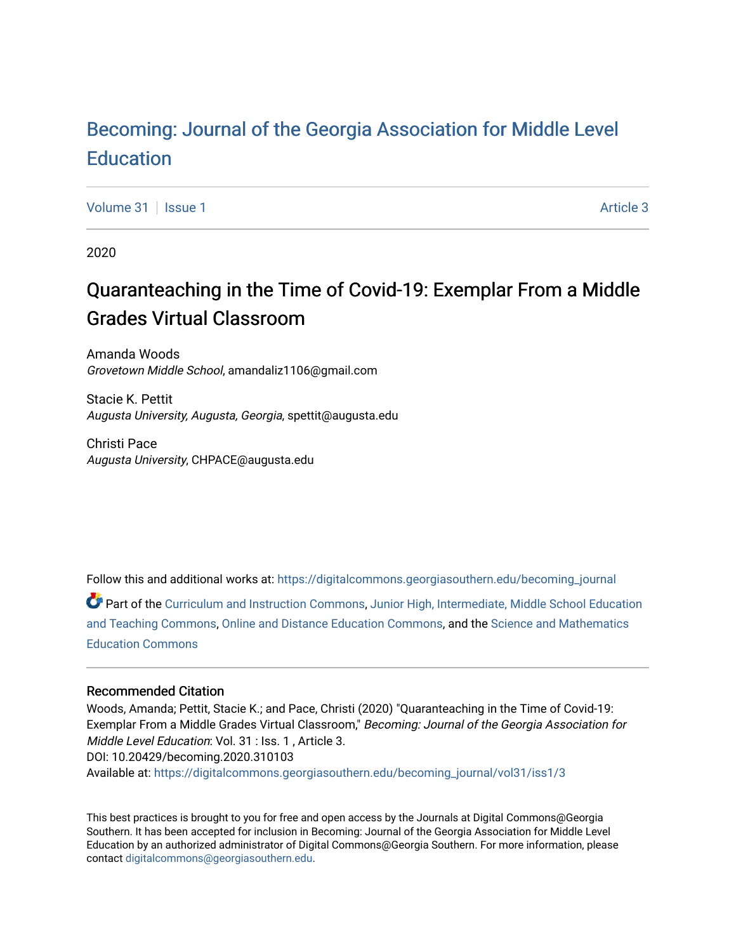# [Becoming: Journal of the Georgia Association for Middle Level](https://digitalcommons.georgiasouthern.edu/becoming_journal)  **Education**

[Volume 31](https://digitalcommons.georgiasouthern.edu/becoming_journal/vol31) | [Issue 1](https://digitalcommons.georgiasouthern.edu/becoming_journal/vol31/iss1) Article 3

2020

# Quaranteaching in the Time of Covid-19: Exemplar From a Middle Grades Virtual Classroom

Amanda Woods Grovetown Middle School, amandaliz1106@gmail.com

Stacie K. Pettit Augusta University, Augusta, Georgia, spettit@augusta.edu

Christi Pace Augusta University, CHPACE@augusta.edu

Follow this and additional works at: [https://digitalcommons.georgiasouthern.edu/becoming\\_journal](https://digitalcommons.georgiasouthern.edu/becoming_journal?utm_source=digitalcommons.georgiasouthern.edu%2Fbecoming_journal%2Fvol31%2Fiss1%2F3&utm_medium=PDF&utm_campaign=PDFCoverPages) 

Part of the [Curriculum and Instruction Commons,](http://network.bepress.com/hgg/discipline/786?utm_source=digitalcommons.georgiasouthern.edu%2Fbecoming_journal%2Fvol31%2Fiss1%2F3&utm_medium=PDF&utm_campaign=PDFCoverPages) [Junior High, Intermediate, Middle School Education](http://network.bepress.com/hgg/discipline/807?utm_source=digitalcommons.georgiasouthern.edu%2Fbecoming_journal%2Fvol31%2Fiss1%2F3&utm_medium=PDF&utm_campaign=PDFCoverPages)  [and Teaching Commons](http://network.bepress.com/hgg/discipline/807?utm_source=digitalcommons.georgiasouthern.edu%2Fbecoming_journal%2Fvol31%2Fiss1%2F3&utm_medium=PDF&utm_campaign=PDFCoverPages), [Online and Distance Education Commons,](http://network.bepress.com/hgg/discipline/1296?utm_source=digitalcommons.georgiasouthern.edu%2Fbecoming_journal%2Fvol31%2Fiss1%2F3&utm_medium=PDF&utm_campaign=PDFCoverPages) and the [Science and Mathematics](http://network.bepress.com/hgg/discipline/800?utm_source=digitalcommons.georgiasouthern.edu%2Fbecoming_journal%2Fvol31%2Fiss1%2F3&utm_medium=PDF&utm_campaign=PDFCoverPages)  [Education Commons](http://network.bepress.com/hgg/discipline/800?utm_source=digitalcommons.georgiasouthern.edu%2Fbecoming_journal%2Fvol31%2Fiss1%2F3&utm_medium=PDF&utm_campaign=PDFCoverPages) 

#### Recommended Citation

Woods, Amanda; Pettit, Stacie K.; and Pace, Christi (2020) "Quaranteaching in the Time of Covid-19: Exemplar From a Middle Grades Virtual Classroom," Becoming: Journal of the Georgia Association for Middle Level Education: Vol. 31 : Iss. 1 , Article 3. DOI: 10.20429/becoming.2020.310103 Available at: [https://digitalcommons.georgiasouthern.edu/becoming\\_journal/vol31/iss1/3](https://digitalcommons.georgiasouthern.edu/becoming_journal/vol31/iss1/3?utm_source=digitalcommons.georgiasouthern.edu%2Fbecoming_journal%2Fvol31%2Fiss1%2F3&utm_medium=PDF&utm_campaign=PDFCoverPages) 

This best practices is brought to you for free and open access by the Journals at Digital Commons@Georgia Southern. It has been accepted for inclusion in Becoming: Journal of the Georgia Association for Middle Level Education by an authorized administrator of Digital Commons@Georgia Southern. For more information, please contact [digitalcommons@georgiasouthern.edu](mailto:digitalcommons@georgiasouthern.edu).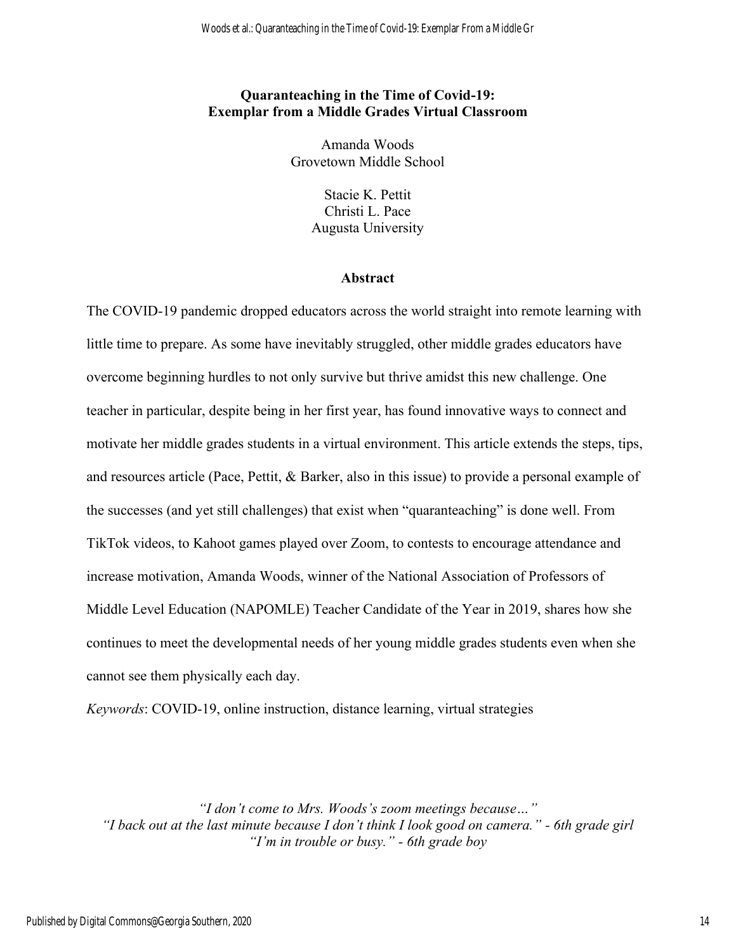# **Quaranteaching in the Time of Covid-19: Exemplar from a Middle Grades Virtual Classroom**

Amanda Woods Grovetown Middle School

> Stacie K. Pettit Christi L. Pace Augusta University

## **Abstract**

The COVID-19 pandemic dropped educators across the world straight into remote learning with little time to prepare. As some have inevitably struggled, other middle grades educators have overcome beginning hurdles to not only survive but thrive amidst this new challenge. One teacher in particular, despite being in her first year, has found innovative ways to connect and motivate her middle grades students in a virtual environment. This article extends the steps, tips, and resources article (Pace, Pettit, & Barker, also in this issue) to provide a personal example of the successes (and yet still challenges) that exist when "quaranteaching" is done well. From TikTok videos, to Kahoot games played over Zoom, to contests to encourage attendance and increase motivation, Amanda Woods, winner of the National Association of Professors of Middle Level Education (NAPOMLE) Teacher Candidate of the Year in 2019, shares how she continues to meet the developmental needs of her young middle grades students even when she cannot see them physically each day.

*Keywords*: COVID-19, online instruction, distance learning, virtual strategies

*"I don't come to Mrs. Woods's zoom meetings because…" "I back out at the last minute because I don't think I look good on camera." - 6th grade girl "I'm in trouble or busy." - 6th grade boy*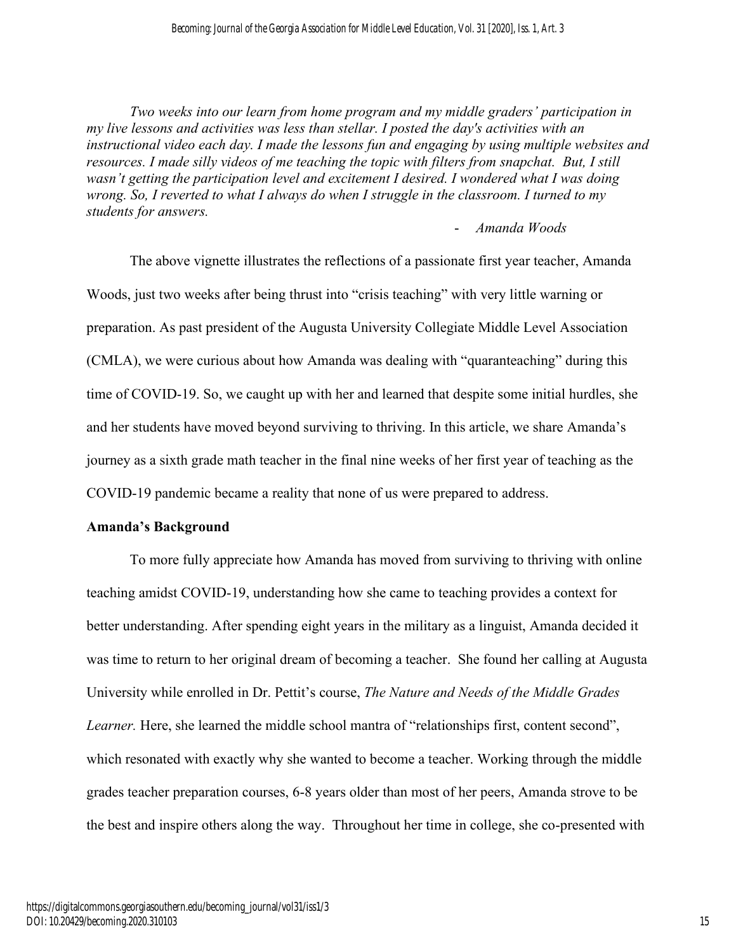*Two weeks into our learn from home program and my middle graders' participation in my live lessons and activities was less than stellar. I posted the day's activities with an instructional video each day. I made the lessons fun and engaging by using multiple websites and resources. I made silly videos of me teaching the topic with filters from snapchat. But, I still wasn't getting the participation level and excitement I desired. I wondered what I was doing wrong. So, I reverted to what I always do when I struggle in the classroom. I turned to my students for answers.* 

- *Amanda Woods*

The above vignette illustrates the reflections of a passionate first year teacher, Amanda Woods, just two weeks after being thrust into "crisis teaching" with very little warning or preparation. As past president of the Augusta University Collegiate Middle Level Association (CMLA), we were curious about how Amanda was dealing with "quaranteaching" during this time of COVID-19. So, we caught up with her and learned that despite some initial hurdles, she and her students have moved beyond surviving to thriving. In this article, we share Amanda's journey as a sixth grade math teacher in the final nine weeks of her first year of teaching as the COVID-19 pandemic became a reality that none of us were prepared to address.

## **Amanda's Background**

To more fully appreciate how Amanda has moved from surviving to thriving with online teaching amidst COVID-19, understanding how she came to teaching provides a context for better understanding. After spending eight years in the military as a linguist, Amanda decided it was time to return to her original dream of becoming a teacher. She found her calling at Augusta University while enrolled in Dr. Pettit's course, *The Nature and Needs of the Middle Grades Learner*. Here, she learned the middle school mantra of "relationships first, content second", which resonated with exactly why she wanted to become a teacher. Working through the middle grades teacher preparation courses, 6-8 years older than most of her peers, Amanda strove to be the best and inspire others along the way. Throughout her time in college, she co-presented with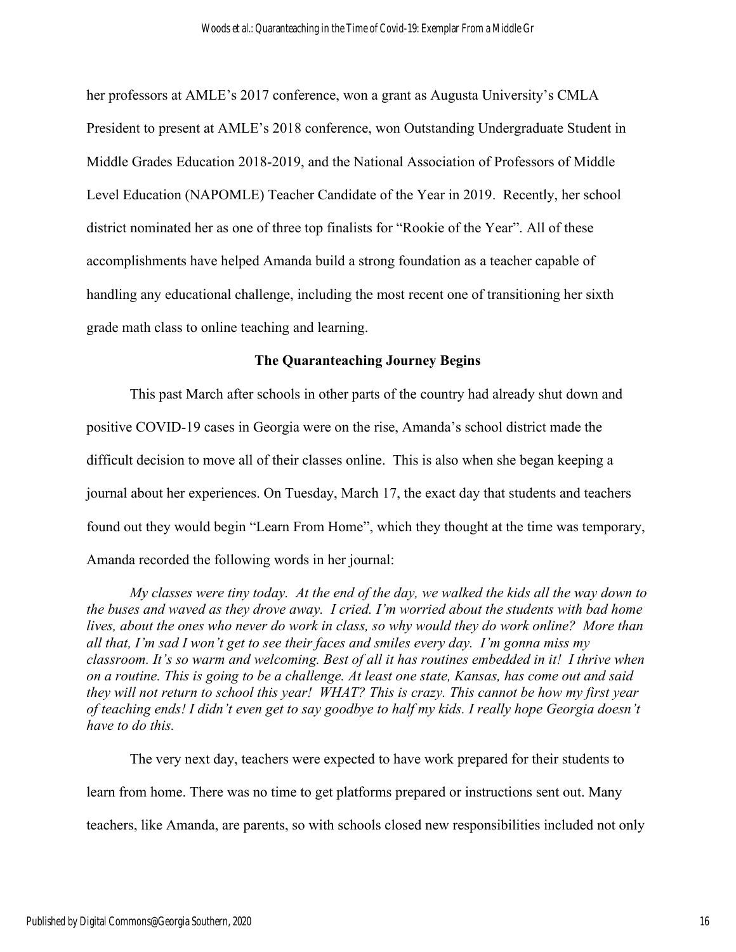her professors at AMLE's 2017 conference, won a grant as Augusta University's CMLA President to present at AMLE's 2018 conference, won Outstanding Undergraduate Student in Middle Grades Education 2018-2019, and the National Association of Professors of Middle Level Education (NAPOMLE) Teacher Candidate of the Year in 2019. Recently, her school district nominated her as one of three top finalists for "Rookie of the Year". All of these accomplishments have helped Amanda build a strong foundation as a teacher capable of handling any educational challenge, including the most recent one of transitioning her sixth grade math class to online teaching and learning.

## **The Quaranteaching Journey Begins**

This past March after schools in other parts of the country had already shut down and positive COVID-19 cases in Georgia were on the rise, Amanda's school district made the difficult decision to move all of their classes online. This is also when she began keeping a journal about her experiences. On Tuesday, March 17, the exact day that students and teachers found out they would begin "Learn From Home", which they thought at the time was temporary, Amanda recorded the following words in her journal:

*My classes were tiny today. At the end of the day, we walked the kids all the way down to the buses and waved as they drove away. I cried. I'm worried about the students with bad home lives, about the ones who never do work in class, so why would they do work online? More than all that, I'm sad I won't get to see their faces and smiles every day. I'm gonna miss my classroom. It's so warm and welcoming. Best of all it has routines embedded in it! I thrive when on a routine. This is going to be a challenge. At least one state, Kansas, has come out and said they will not return to school this year! WHAT? This is crazy. This cannot be how my first year of teaching ends! I didn't even get to say goodbye to half my kids. I really hope Georgia doesn't have to do this.*

The very next day, teachers were expected to have work prepared for their students to learn from home. There was no time to get platforms prepared or instructions sent out. Many teachers, like Amanda, are parents, so with schools closed new responsibilities included not only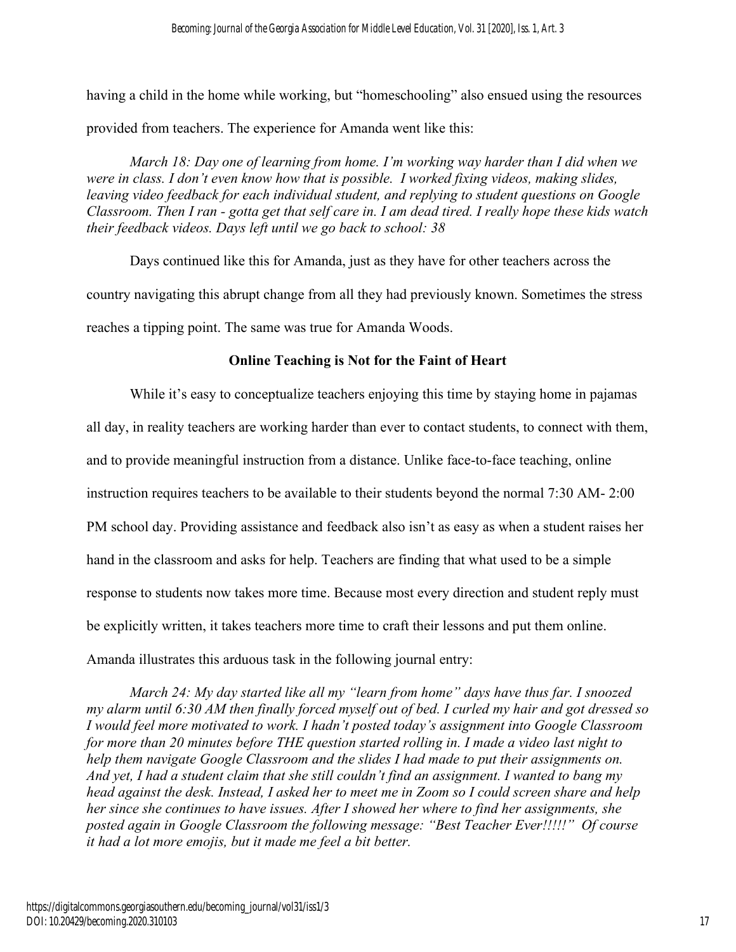having a child in the home while working, but "homeschooling" also ensued using the resources provided from teachers. The experience for Amanda went like this:

*March 18: Day one of learning from home. I'm working way harder than I did when we were in class. I don't even know how that is possible. I worked fixing videos, making slides, leaving video feedback for each individual student, and replying to student questions on Google Classroom. Then I ran - gotta get that self care in. I am dead tired. I really hope these kids watch their feedback videos. Days left until we go back to school: 38*

Days continued like this for Amanda, just as they have for other teachers across the country navigating this abrupt change from all they had previously known. Sometimes the stress reaches a tipping point. The same was true for Amanda Woods.

# **Online Teaching is Not for the Faint of Heart**

While it's easy to conceptualize teachers enjoying this time by staying home in pajamas all day, in reality teachers are working harder than ever to contact students, to connect with them, and to provide meaningful instruction from a distance. Unlike face-to-face teaching, online instruction requires teachers to be available to their students beyond the normal 7:30 AM- 2:00 PM school day. Providing assistance and feedback also isn't as easy as when a student raises her hand in the classroom and asks for help. Teachers are finding that what used to be a simple response to students now takes more time. Because most every direction and student reply must be explicitly written, it takes teachers more time to craft their lessons and put them online. Amanda illustrates this arduous task in the following journal entry:

*March 24: My day started like all my "learn from home" days have thus far. I snoozed my alarm until 6:30 AM then finally forced myself out of bed. I curled my hair and got dressed so I would feel more motivated to work. I hadn't posted today's assignment into Google Classroom for more than 20 minutes before THE question started rolling in. I made a video last night to help them navigate Google Classroom and the slides I had made to put their assignments on. And yet, I had a student claim that she still couldn't find an assignment. I wanted to bang my head against the desk. Instead, I asked her to meet me in Zoom so I could screen share and help her since she continues to have issues. After I showed her where to find her assignments, she posted again in Google Classroom the following message: "Best Teacher Ever!!!!!" Of course it had a lot more emojis, but it made me feel a bit better.*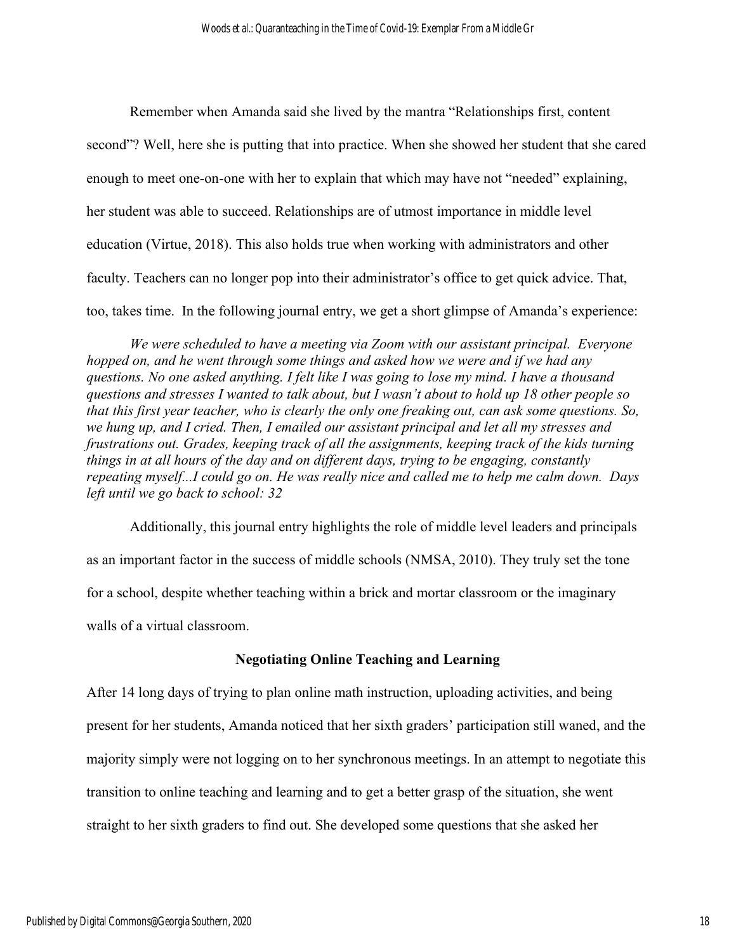Remember when Amanda said she lived by the mantra "Relationships first, content second"? Well, here she is putting that into practice. When she showed her student that she cared enough to meet one-on-one with her to explain that which may have not "needed" explaining, her student was able to succeed. Relationships are of utmost importance in middle level education (Virtue, 2018). This also holds true when working with administrators and other faculty. Teachers can no longer pop into their administrator's office to get quick advice. That, too, takes time. In the following journal entry, we get a short glimpse of Amanda's experience:

*We were scheduled to have a meeting via Zoom with our assistant principal. Everyone hopped on, and he went through some things and asked how we were and if we had any questions. No one asked anything. I felt like I was going to lose my mind. I have a thousand questions and stresses I wanted to talk about, but I wasn't about to hold up 18 other people so that this first year teacher, who is clearly the only one freaking out, can ask some questions. So, we hung up, and I cried. Then, I emailed our assistant principal and let all my stresses and frustrations out. Grades, keeping track of all the assignments, keeping track of the kids turning things in at all hours of the day and on different days, trying to be engaging, constantly repeating myself...I could go on. He was really nice and called me to help me calm down. Days left until we go back to school: 32*

Additionally, this journal entry highlights the role of middle level leaders and principals as an important factor in the success of middle schools (NMSA, 2010). They truly set the tone for a school, despite whether teaching within a brick and mortar classroom or the imaginary walls of a virtual classroom.

### **Negotiating Online Teaching and Learning**

After 14 long days of trying to plan online math instruction, uploading activities, and being present for her students, Amanda noticed that her sixth graders' participation still waned, and the majority simply were not logging on to her synchronous meetings. In an attempt to negotiate this transition to online teaching and learning and to get a better grasp of the situation, she went straight to her sixth graders to find out. She developed some questions that she asked her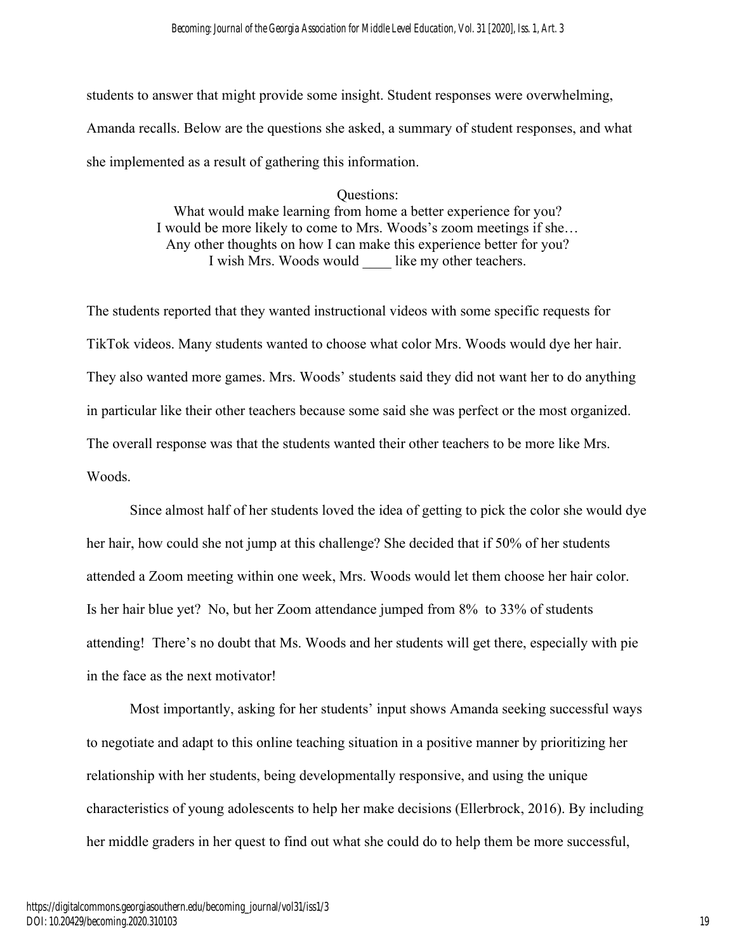students to answer that might provide some insight. Student responses were overwhelming, Amanda recalls. Below are the questions she asked, a summary of student responses, and what she implemented as a result of gathering this information.

> Questions: What would make learning from home a better experience for you? I would be more likely to come to Mrs. Woods's zoom meetings if she… Any other thoughts on how I can make this experience better for you? I wish Mrs. Woods would like my other teachers.

The students reported that they wanted instructional videos with some specific requests for TikTok videos. Many students wanted to choose what color Mrs. Woods would dye her hair. They also wanted more games. Mrs. Woods' students said they did not want her to do anything in particular like their other teachers because some said she was perfect or the most organized. The overall response was that the students wanted their other teachers to be more like Mrs. Woods.

Since almost half of her students loved the idea of getting to pick the color she would dye her hair, how could she not jump at this challenge? She decided that if 50% of her students attended a Zoom meeting within one week, Mrs. Woods would let them choose her hair color. Is her hair blue yet? No, but her Zoom attendance jumped from 8% to 33% of students attending! There's no doubt that Ms. Woods and her students will get there, especially with pie in the face as the next motivator!

Most importantly, asking for her students' input shows Amanda seeking successful ways to negotiate and adapt to this online teaching situation in a positive manner by prioritizing her relationship with her students, being developmentally responsive, and using the unique characteristics of young adolescents to help her make decisions (Ellerbrock, 2016). By including her middle graders in her quest to find out what she could do to help them be more successful,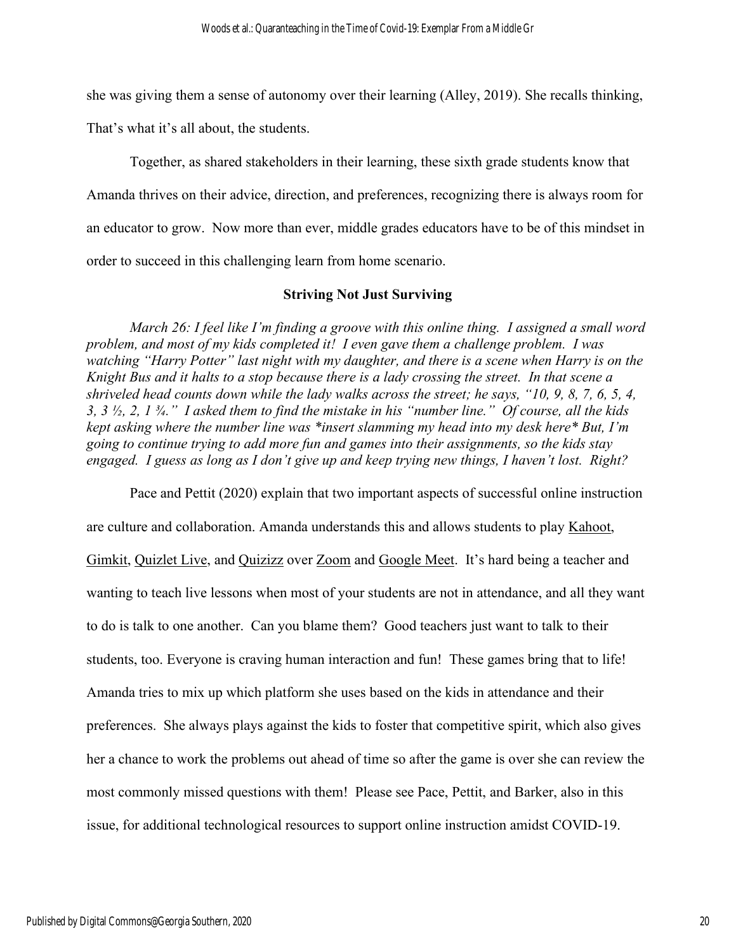she was giving them a sense of autonomy over their learning (Alley, 2019). She recalls thinking,

That's what it's all about, the students.

Together, as shared stakeholders in their learning, these sixth grade students know that Amanda thrives on their advice, direction, and preferences, recognizing there is always room for an educator to grow. Now more than ever, middle grades educators have to be of this mindset in order to succeed in this challenging learn from home scenario.

## **Striving Not Just Surviving**

*March 26: I feel like I'm finding a groove with this online thing. I assigned a small word problem, and most of my kids completed it! I even gave them a challenge problem. I was watching "Harry Potter" last night with my daughter, and there is a scene when Harry is on the Knight Bus and it halts to a stop because there is a lady crossing the street. In that scene a shriveled head counts down while the lady walks across the street; he says, "10, 9, 8, 7, 6, 5, 4, 3, 3 ½, 2, 1 ¾." I asked them to find the mistake in his "number line." Of course, all the kids kept asking where the number line was \*insert slamming my head into my desk here\* But, I'm going to continue trying to add more fun and games into their assignments, so the kids stay engaged. I guess as long as I don't give up and keep trying new things, I haven't lost. Right?*

Pace and Pettit (2020) explain that two important aspects of successful online instruction are culture and collaboration. Amanda understands this and allows students to play [Kahoot,](https://kahoot.com/) [Gimkit,](https://www.gimkit.com/) [Quizlet Live,](https://quizlet.com/) and [Quizizz](https://quizizz.com/) over [Zoom](https://zoom.us/) and [Google Meet.](http://meet.google.com/) It's hard being a teacher and wanting to teach live lessons when most of your students are not in attendance, and all they want to do is talk to one another. Can you blame them? Good teachers just want to talk to their students, too. Everyone is craving human interaction and fun! These games bring that to life! Amanda tries to mix up which platform she uses based on the kids in attendance and their preferences. She always plays against the kids to foster that competitive spirit, which also gives her a chance to work the problems out ahead of time so after the game is over she can review the most commonly missed questions with them! Please see Pace, Pettit, and Barker, also in this issue, for additional technological resources to support online instruction amidst COVID-19.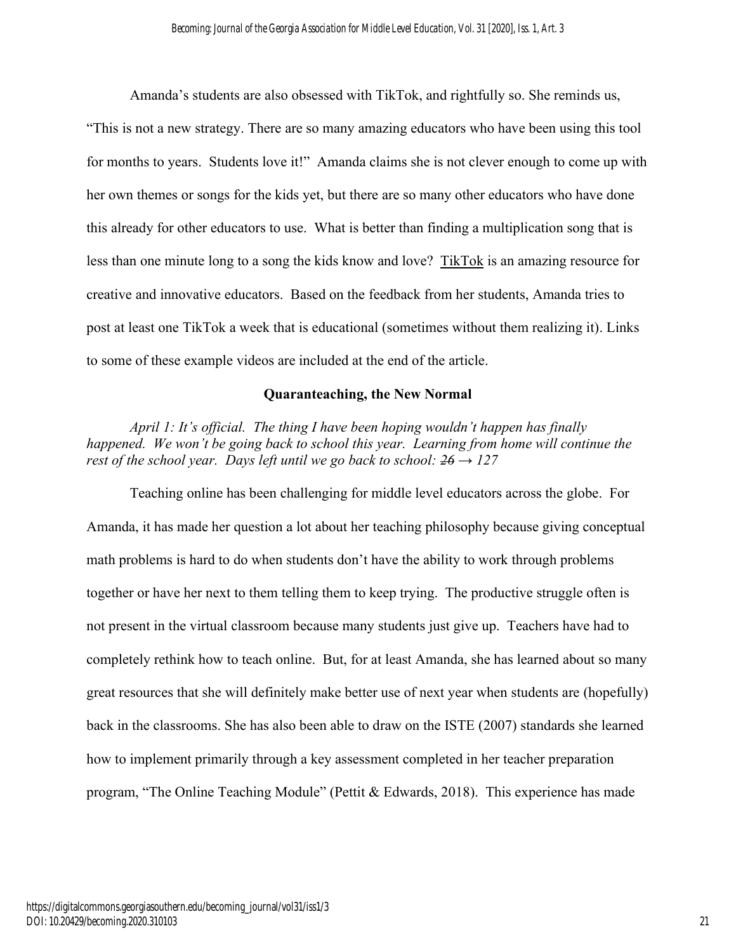Amanda's students are also obsessed with TikTok, and rightfully so. She reminds us, "This is not a new strategy. There are so many amazing educators who have been using this tool for months to years. Students love it!" Amanda claims she is not clever enough to come up with her own themes or songs for the kids yet, but there are so many other educators who have done this already for other educators to use. What is better than finding a multiplication song that is less than one minute long to a song the kids know and love? [TikTok](https://www.tiktok.com/en/) is an amazing resource for creative and innovative educators. Based on the feedback from her students, Amanda tries to post at least one TikTok a week that is educational (sometimes without them realizing it). Links to some of these example videos are included at the end of the article.

## **Quaranteaching, the New Normal**

*April 1: It's official. The thing I have been hoping wouldn't happen has finally happened. We won't be going back to school this year. Learning from home will continue the rest of the school year. Days left until we go back to school:*  $26 \rightarrow 127$ 

Teaching online has been challenging for middle level educators across the globe. For Amanda, it has made her question a lot about her teaching philosophy because giving conceptual math problems is hard to do when students don't have the ability to work through problems together or have her next to them telling them to keep trying. The productive struggle often is not present in the virtual classroom because many students just give up. Teachers have had to completely rethink how to teach online. But, for at least Amanda, she has learned about so many great resources that she will definitely make better use of next year when students are (hopefully) back in the classrooms. She has also been able to draw on the ISTE (2007) standards she learned how to implement primarily through a key assessment completed in her teacher preparation program, "The Online Teaching Module" (Pettit & Edwards, 2018). This experience has made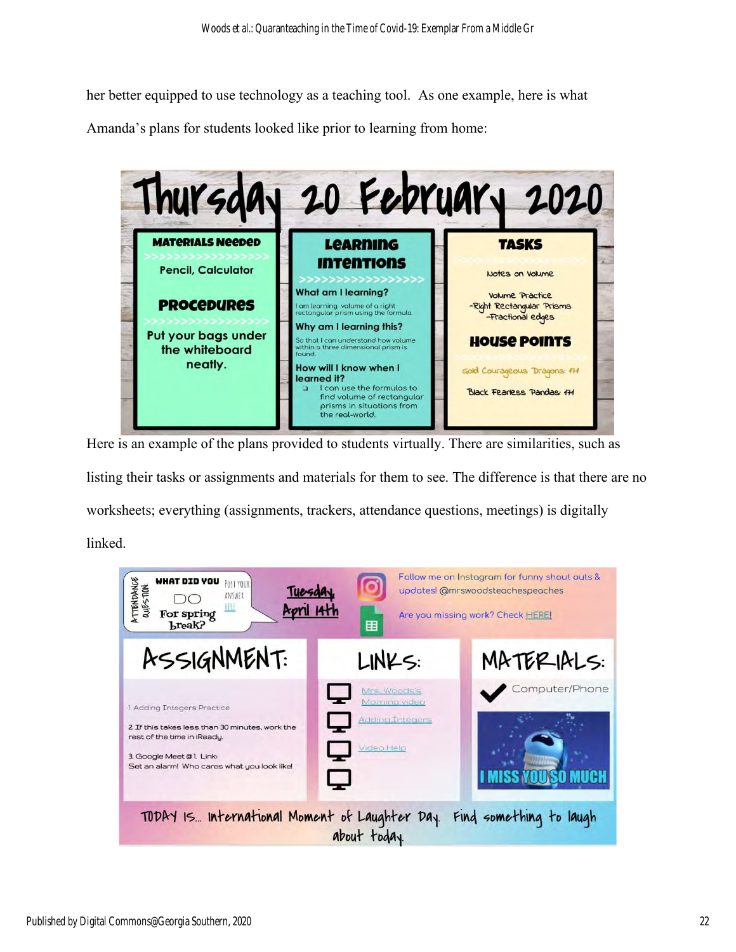her better equipped to use technology as a teaching tool. As one example, here is what Amanda's plans for students looked like prior to learning from home:



Here is an example of the plans provided to students virtually. There are similarities, such as listing their tasks or assignments and materials for them to see. The difference is that there are no worksheets; everything (assignments, trackers, attendance questions, meetings) is digitally linked.

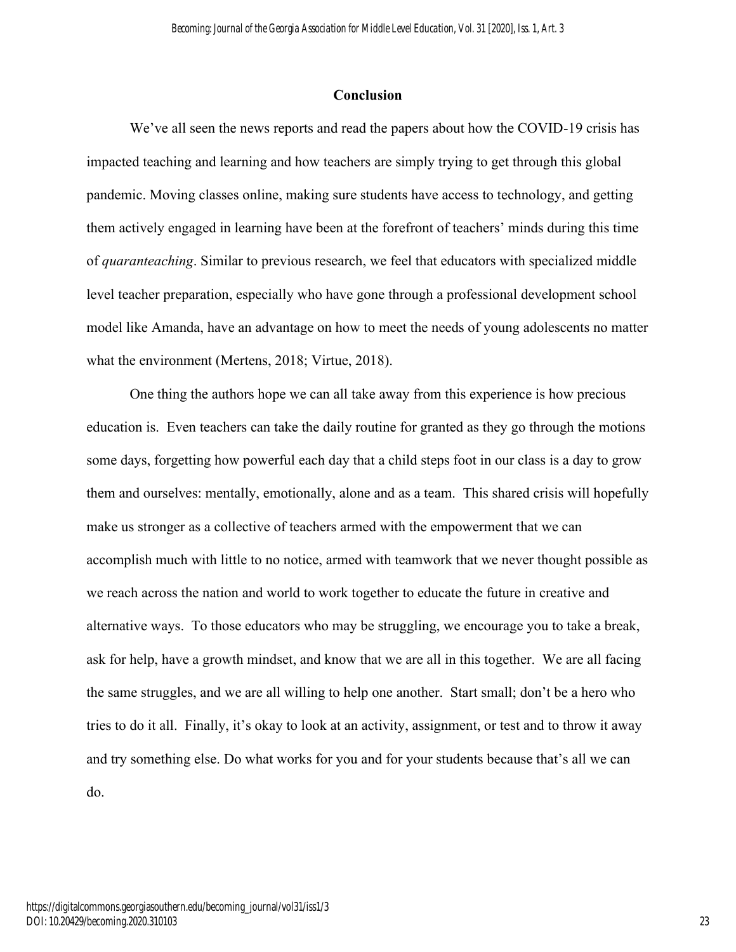### **Conclusion**

We've all seen the news reports and read the papers about how the COVID-19 crisis has impacted teaching and learning and how teachers are simply trying to get through this global pandemic. Moving classes online, making sure students have access to technology, and getting them actively engaged in learning have been at the forefront of teachers' minds during this time of *quaranteaching*. Similar to previous research, we feel that educators with specialized middle level teacher preparation, especially who have gone through a professional development school model like Amanda, have an advantage on how to meet the needs of young adolescents no matter what the environment (Mertens, 2018; Virtue, 2018).

One thing the authors hope we can all take away from this experience is how precious education is. Even teachers can take the daily routine for granted as they go through the motions some days, forgetting how powerful each day that a child steps foot in our class is a day to grow them and ourselves: mentally, emotionally, alone and as a team. This shared crisis will hopefully make us stronger as a collective of teachers armed with the empowerment that we can accomplish much with little to no notice, armed with teamwork that we never thought possible as we reach across the nation and world to work together to educate the future in creative and alternative ways. To those educators who may be struggling, we encourage you to take a break, ask for help, have a growth mindset, and know that we are all in this together. We are all facing the same struggles, and we are all willing to help one another. Start small; don't be a hero who tries to do it all. Finally, it's okay to look at an activity, assignment, or test and to throw it away and try something else. Do what works for you and for your students because that's all we can do.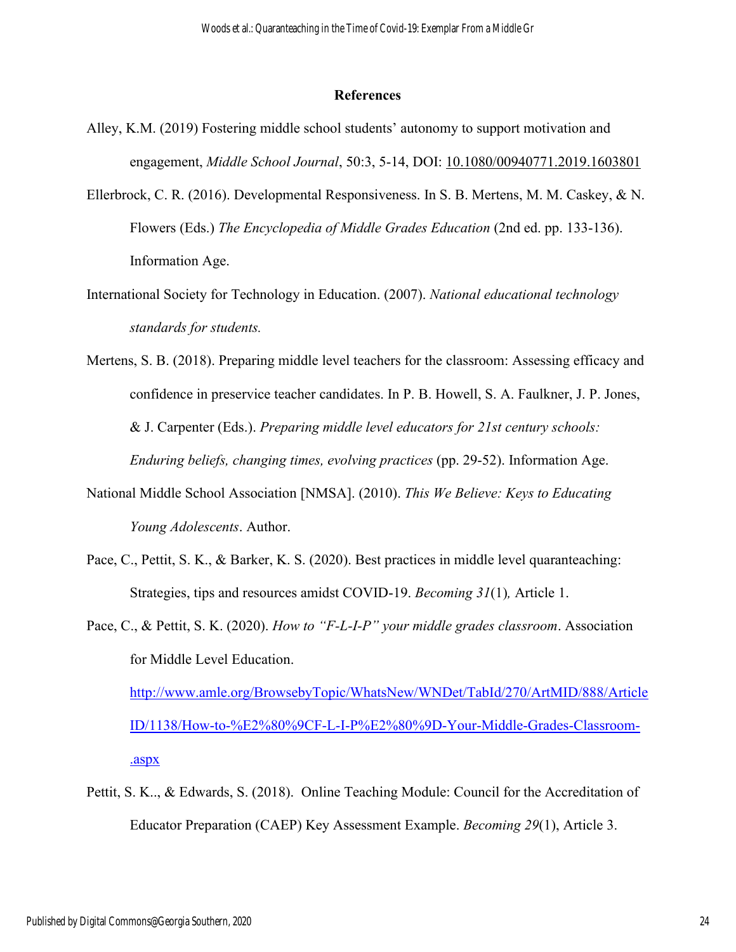#### **References**

- Alley, K.M. (2019) Fostering middle school students' autonomy to support motivation and engagement, *Middle School Journal*, 50:3, 5-14, DOI: [10.1080/00940771.2019.1603801](https://doi.org/10.1080/00940771.2019.1603801)
- Ellerbrock, C. R. (2016). Developmental Responsiveness. In S. B. Mertens, M. M. Caskey, & N. Flowers (Eds.) *The Encyclopedia of Middle Grades Education* (2nd ed. pp. 133-136). Information Age.
- International Society for Technology in Education. (2007). *National educational technology standards for students.*
- Mertens, S. B. (2018). Preparing middle level teachers for the classroom: Assessing efficacy and confidence in preservice teacher candidates. In P. B. Howell, S. A. Faulkner, J. P. Jones, & J. Carpenter (Eds.). *Preparing middle level educators for 21st century schools: Enduring beliefs, changing times, evolving practices* (pp. 29-52). Information Age.
- National Middle School Association [NMSA]. (2010). *This We Believe: Keys to Educating Young Adolescents*. Author.
- Pace, C., Pettit, S. K., & Barker, K. S. (2020). Best practices in middle level quaranteaching: Strategies, tips and resources amidst COVID-19. *Becoming 31*(1)*,* Article 1.
- Pace, C., & Pettit, S. K. (2020). *[How to "F-L-I-P" your middle grades classroom](http://www.amle.org/TabId/270/ArtMID/888/ArticleID/1138/How-to-%e2%80%9cF-L-I-P%e2%80%9d-Your-Middle-Grades-Classroom-.aspx)*[.](http://www.amle.org/TabId/270/ArtMID/888/ArticleID/1138/How-to-%e2%80%9cF-L-I-P%e2%80%9d-Your-Middle-Grades-Classroom-.aspx) Association for Middle Level Education. [http://www.amle.org/BrowsebyTopic/WhatsNew/WNDet/TabId/270/ArtMID/888/Article](http://www.amle.org/BrowsebyTopic/WhatsNew/WNDet/TabId/270/ArtMID/888/ArticleID/1138/How-to-%E2%80%9CF-L-I-P%E2%80%9D-Your-Middle-Grades-Classroom-.aspx) [ID/1138/How-to-%E2%80%9CF-L-I-P%E2%80%9D-Your-Middle-Grades-Classroom-](http://www.amle.org/BrowsebyTopic/WhatsNew/WNDet/TabId/270/ArtMID/888/ArticleID/1138/How-to-%E2%80%9CF-L-I-P%E2%80%9D-Your-Middle-Grades-Classroom-.aspx) [.aspx](http://www.amle.org/BrowsebyTopic/WhatsNew/WNDet/TabId/270/ArtMID/888/ArticleID/1138/How-to-%E2%80%9CF-L-I-P%E2%80%9D-Your-Middle-Grades-Classroom-.aspx)
- Pettit, S. K.., & Edwards, S. (2018). [Online Teaching Module: Council for the Accreditation of](https://digitalcommons.georgiasouthern.edu/cgi/viewcontent.cgi?article=1002&context=becoming_journal)  [Educator Preparation \(CAEP\) Key Assessment Example.](https://digitalcommons.georgiasouthern.edu/cgi/viewcontent.cgi?article=1002&context=becoming_journal) *Becoming 29*(1), Article 3.